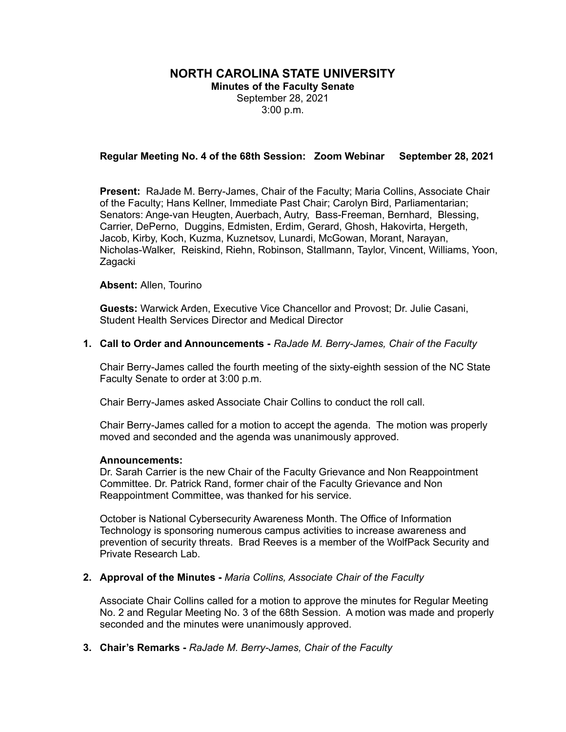# **NORTH CAROLINA STATE UNIVERSITY**

**Minutes of the Faculty Senate** September 28, 2021 3:00 p.m.

## **Regular Meeting No. 4 of the 68th Session: Zoom Webinar September 28, 2021**

**Present:** RaJade M. Berry-James, Chair of the Faculty; Maria Collins, Associate Chair of the Faculty; Hans Kellner, Immediate Past Chair; Carolyn Bird, Parliamentarian; Senators: Ange-van Heugten, Auerbach, Autry, Bass-Freeman, Bernhard, Blessing, Carrier, DePerno, Duggins, Edmisten, Erdim, Gerard, Ghosh, Hakovirta, Hergeth, Jacob, Kirby, Koch, Kuzma, Kuznetsov, Lunardi, McGowan, Morant, Narayan, Nicholas-Walker, Reiskind, Riehn, Robinson, Stallmann, Taylor, Vincent, Williams, Yoon, Zagacki

#### **Absent:** Allen, Tourino

**Guests:** Warwick Arden, Executive Vice Chancellor and Provost; Dr. Julie Casani, Student Health Services Director and Medical Director

#### **1. Call to Order and Announcements -** *RaJade M. Berry-James, Chair of the Faculty*

Chair Berry-James called the fourth meeting of the sixty-eighth session of the NC State Faculty Senate to order at 3:00 p.m.

Chair Berry-James asked Associate Chair Collins to conduct the roll call.

Chair Berry-James called for a motion to accept the agenda. The motion was properly moved and seconded and the agenda was unanimously approved.

#### **Announcements:**

Dr. Sarah Carrier is the new Chair of the Faculty Grievance and Non Reappointment Committee. Dr. Patrick Rand, former chair of the Faculty Grievance and Non Reappointment Committee, was thanked for his service.

October is National Cybersecurity Awareness Month. The Office of Information Technology is sponsoring numerous campus activities to increase awareness and prevention of security threats. Brad Reeves is a member of the WolfPack Security and Private Research Lab.

## **2. Approval of the Minutes -** *Maria Collins, Associate Chair of the Faculty*

Associate Chair Collins called for a motion to approve the minutes for Regular Meeting No. 2 and Regular Meeting No. 3 of the 68th Session. A motion was made and properly seconded and the minutes were unanimously approved.

## **3. Chair's Remarks -** *RaJade M. Berry-James, Chair of the Faculty*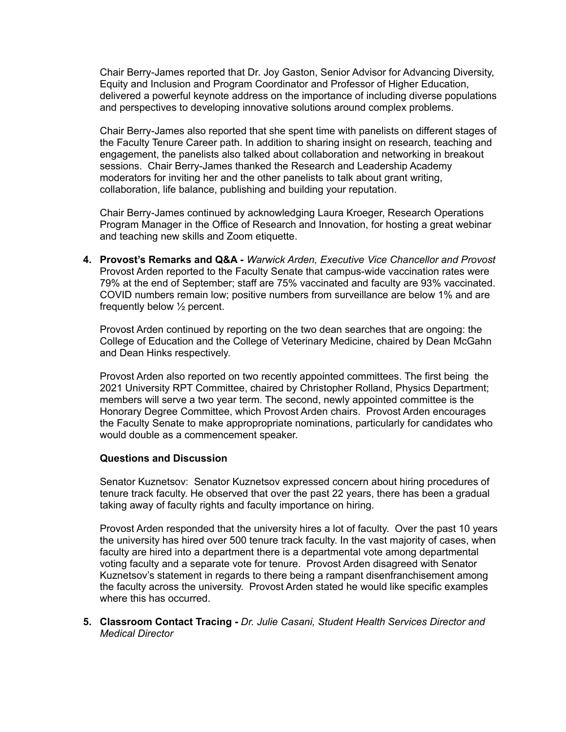Chair Berry-James reported that Dr. Joy Gaston, Senior Advisor for Advancing Diversity, Equity and Inclusion and Program Coordinator and Professor of Higher Education, delivered a powerful keynote address on the importance of including diverse populations and perspectives to developing innovative solutions around complex problems.

Chair Berry-James also reported that she spent time with panelists on different stages of the Faculty Tenure Career path. In addition to sharing insight on research, teaching and engagement, the panelists also talked about collaboration and networking in breakout sessions. Chair Berry-James thanked the Research and Leadership Academy moderators for inviting her and the other panelists to talk about grant writing, collaboration, life balance, publishing and building your reputation.

Chair Berry-James continued by acknowledging Laura Kroeger, Research Operations Program Manager in the Office of Research and Innovation, for hosting a great webinar and teaching new skills and Zoom etiquette.

**4. Provost's Remarks and Q&A -** *Warwick Arden, Executive Vice Chancellor and Provost* Provost Arden reported to the Faculty Senate that campus-wide vaccination rates were 79% at the end of September; staff are 75% vaccinated and faculty are 93% vaccinated. COVID numbers remain low; positive numbers from surveillance are below 1% and are frequently below ½ percent.

Provost Arden continued by reporting on the two dean searches that are ongoing: the College of Education and the College of Veterinary Medicine, chaired by Dean McGahn and Dean Hinks respectively.

Provost Arden also reported on two recently appointed committees. The first being the 2021 University RPT Committee, chaired by Christopher Rolland, Physics Department; members will serve a two year term. The second, newly appointed committee is the Honorary Degree Committee, which Provost Arden chairs. Provost Arden encourages the Faculty Senate to make appropropriate nominations, particularly for candidates who would double as a commencement speaker.

# **Questions and Discussion**

Senator Kuznetsov: Senator Kuznetsov expressed concern about hiring procedures of tenure track faculty. He observed that over the past 22 years, there has been a gradual taking away of faculty rights and faculty importance on hiring.

Provost Arden responded that the university hires a lot of faculty. Over the past 10 years the university has hired over 500 tenure track faculty. In the vast majority of cases, when faculty are hired into a department there is a departmental vote among departmental voting faculty and a separate vote for tenure. Provost Arden disagreed with Senator Kuznetsov's statement in regards to there being a rampant disenfranchisement among the faculty across the university. Provost Arden stated he would like specific examples where this has occurred.

**5. Classroom Contact Tracing -** *Dr. Julie Casani, Student Health Services Director and Medical Director*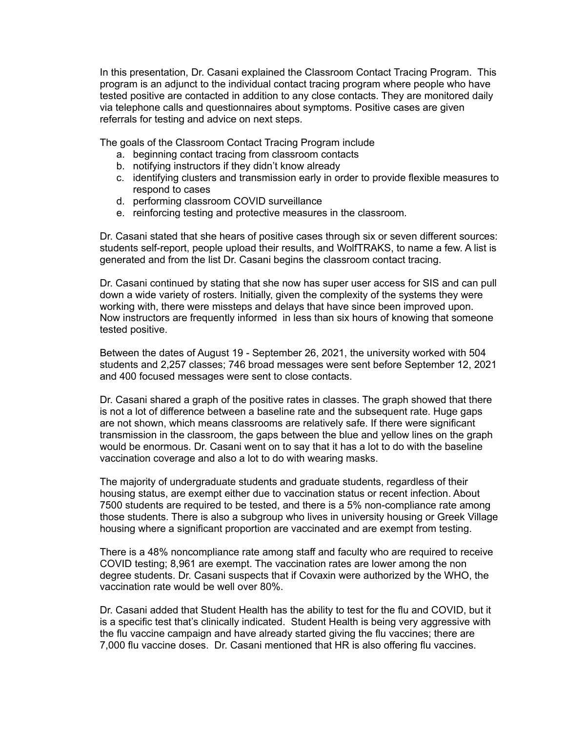In this presentation, Dr. Casani explained the Classroom Contact Tracing Program. This program is an adjunct to the individual contact tracing program where people who have tested positive are contacted in addition to any close contacts. They are monitored daily via telephone calls and questionnaires about symptoms. Positive cases are given referrals for testing and advice on next steps.

The goals of the Classroom Contact Tracing Program include

- a. beginning contact tracing from classroom contacts
- b. notifying instructors if they didn't know already
- c. identifying clusters and transmission early in order to provide flexible measures to respond to cases
- d. performing classroom COVID surveillance
- e. reinforcing testing and protective measures in the classroom.

Dr. Casani stated that she hears of positive cases through six or seven different sources: students self-report, people upload their results, and WolfTRAKS, to name a few. A list is generated and from the list Dr. Casani begins the classroom contact tracing.

Dr. Casani continued by stating that she now has super user access for SIS and can pull down a wide variety of rosters. Initially, given the complexity of the systems they were working with, there were missteps and delays that have since been improved upon. Now instructors are frequently informed in less than six hours of knowing that someone tested positive.

Between the dates of August 19 - September 26, 2021, the university worked with 504 students and 2,257 classes; 746 broad messages were sent before September 12, 2021 and 400 focused messages were sent to close contacts.

Dr. Casani shared a graph of the positive rates in classes. The graph showed that there is not a lot of difference between a baseline rate and the subsequent rate. Huge gaps are not shown, which means classrooms are relatively safe. If there were significant transmission in the classroom, the gaps between the blue and yellow lines on the graph would be enormous. Dr. Casani went on to say that it has a lot to do with the baseline vaccination coverage and also a lot to do with wearing masks.

The majority of undergraduate students and graduate students, regardless of their housing status, are exempt either due to vaccination status or recent infection. About 7500 students are required to be tested, and there is a 5% non-compliance rate among those students. There is also a subgroup who lives in university housing or Greek Village housing where a significant proportion are vaccinated and are exempt from testing.

There is a 48% noncompliance rate among staff and faculty who are required to receive COVID testing; 8,961 are exempt. The vaccination rates are lower among the non degree students. Dr. Casani suspects that if Covaxin were authorized by the WHO, the vaccination rate would be well over 80%.

Dr. Casani added that Student Health has the ability to test for the flu and COVID, but it is a specific test that's clinically indicated. Student Health is being very aggressive with the flu vaccine campaign and have already started giving the flu vaccines; there are 7,000 flu vaccine doses. Dr. Casani mentioned that HR is also offering flu vaccines.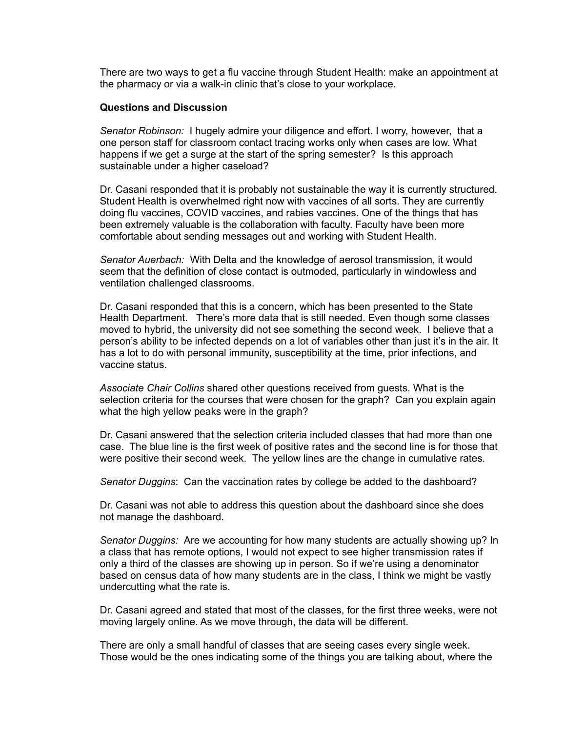There are two ways to get a flu vaccine through Student Health: make an appointment at the pharmacy or via a walk-in clinic that's close to your workplace.

### **Questions and Discussion**

*Senator Robinson:* I hugely admire your diligence and effort. I worry, however, that a one person staff for classroom contact tracing works only when cases are low. What happens if we get a surge at the start of the spring semester? Is this approach sustainable under a higher caseload?

Dr. Casani responded that it is probably not sustainable the way it is currently structured. Student Health is overwhelmed right now with vaccines of all sorts. They are currently doing flu vaccines, COVID vaccines, and rabies vaccines. One of the things that has been extremely valuable is the collaboration with faculty. Faculty have been more comfortable about sending messages out and working with Student Health.

*Senator Auerbach:* With Delta and the knowledge of aerosol transmission, it would seem that the definition of close contact is outmoded, particularly in windowless and ventilation challenged classrooms.

Dr. Casani responded that this is a concern, which has been presented to the State Health Department. There's more data that is still needed. Even though some classes moved to hybrid, the university did not see something the second week. I believe that a person's ability to be infected depends on a lot of variables other than just it's in the air. It has a lot to do with personal immunity, susceptibility at the time, prior infections, and vaccine status.

*Associate Chair Collins* shared other questions received from guests. What is the selection criteria for the courses that were chosen for the graph? Can you explain again what the high yellow peaks were in the graph?

Dr. Casani answered that the selection criteria included classes that had more than one case. The blue line is the first week of positive rates and the second line is for those that were positive their second week. The yellow lines are the change in cumulative rates.

*Senator Duggins*: Can the vaccination rates by college be added to the dashboard?

Dr. Casani was not able to address this question about the dashboard since she does not manage the dashboard.

*Senator Duggins:* Are we accounting for how many students are actually showing up? In a class that has remote options, I would not expect to see higher transmission rates if only a third of the classes are showing up in person. So if we're using a denominator based on census data of how many students are in the class, I think we might be vastly undercutting what the rate is.

Dr. Casani agreed and stated that most of the classes, for the first three weeks, were not moving largely online. As we move through, the data will be different.

There are only a small handful of classes that are seeing cases every single week. Those would be the ones indicating some of the things you are talking about, where the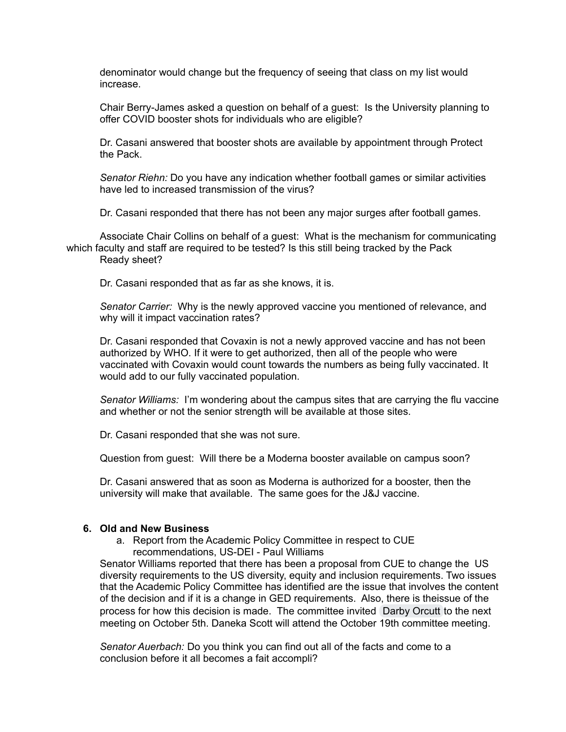denominator would change but the frequency of seeing that class on my list would increase.

Chair Berry-James asked a question on behalf of a guest: Is the University planning to offer COVID booster shots for individuals who are eligible?

Dr. Casani answered that booster shots are available by appointment through Protect the Pack.

*Senator Riehn:* Do you have any indication whether football games or similar activities have led to increased transmission of the virus?

Dr. Casani responded that there has not been any major surges after football games.

Associate Chair Collins on behalf of a guest: What is the mechanism for communicating which faculty and staff are required to be tested? Is this still being tracked by the Pack Ready sheet?

Dr. Casani responded that as far as she knows, it is.

*Senator Carrier:* Why is the newly approved vaccine you mentioned of relevance, and why will it impact vaccination rates?

Dr. Casani responded that Covaxin is not a newly approved vaccine and has not been authorized by WHO. If it were to get authorized, then all of the people who were vaccinated with Covaxin would count towards the numbers as being fully vaccinated. It would add to our fully vaccinated population.

*Senator Williams:* I'm wondering about the campus sites that are carrying the flu vaccine and whether or not the senior strength will be available at those sites.

Dr. Casani responded that she was not sure.

Question from guest: Will there be a Moderna booster available on campus soon?

Dr. Casani answered that as soon as Moderna is authorized for a booster, then the university will make that available. The same goes for the J&J vaccine.

## **6. Old and New Business**

a. Report from the Academic Policy Committee in respect to CUE recommendations, US-DEI - Paul Williams

Senator Williams reported that there has been a proposal from CUE to change the US diversity requirements to the US diversity, equity and inclusion requirements. Two issues that the Academic Policy Committee has identified are the issue that involves the content of the decision and if it is a change in GED requirements. Also, there is theissue of the process for how this decision is made. The committee invited Darby [Orcutt](mailto:dcorcutt@ncsu.edu) to the next meeting on October 5th. Daneka Scott will attend the October 19th committee meeting.

*Senator Auerbach:* Do you think you can find out all of the facts and come to a conclusion before it all becomes a fait accompli?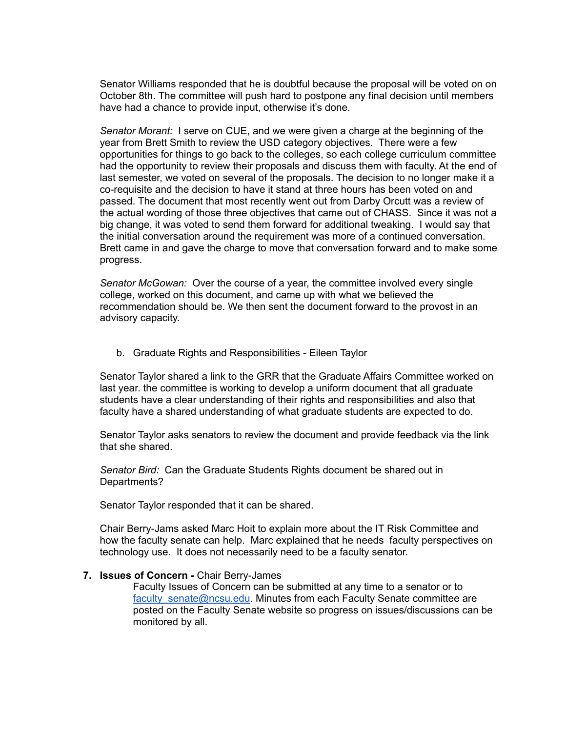Senator Williams responded that he is doubtful because the proposal will be voted on on October 8th. The committee will push hard to postpone any final decision until members have had a chance to provide input, otherwise it's done.

*Senator Morant:* I serve on CUE, and we were given a charge at the beginning of the year from Brett Smith to review the USD category objectives. There were a few opportunities for things to go back to the colleges, so each college curriculum committee had the opportunity to review their proposals and discuss them with faculty. At the end of last semester, we voted on several of the proposals. The decision to no longer make it a co-requisite and the decision to have it stand at three hours has been voted on and passed. The document that most recently went out from Darby Orcutt was a review of the actual wording of those three objectives that came out of CHASS. Since it was not a big change, it was voted to send them forward for additional tweaking. I would say that the initial conversation around the requirement was more of a continued conversation. Brett came in and gave the charge to move that conversation forward and to make some progress.

*Senator McGowan:* Over the course of a year, the committee involved every single college, worked on this document, and came up with what we believed the recommendation should be. We then sent the document forward to the provost in an advisory capacity.

b. Graduate Rights and Responsibilities - Eileen Taylor

Senator Taylor shared a link to the GRR that the Graduate Affairs Committee worked on last year. the committee is working to develop a uniform document that all graduate students have a clear understanding of their rights and responsibilities and also that faculty have a shared understanding of what graduate students are expected to do.

Senator Taylor asks senators to review the document and provide feedback via the link that she shared.

*Senator Bird:* Can the Graduate Students Rights document be shared out in Departments?

Senator Taylor responded that it can be shared.

Chair Berry-Jams asked Marc Hoit to explain more about the IT Risk Committee and how the faculty senate can help. Marc explained that he needs faculty perspectives on technology use. It does not necessarily need to be a faculty senator.

#### **7. Issues of Concern -** Chair Berry-James

Faculty Issues of Concern can be submitted at any time to a senator or to [faculty\\_senate@ncsu.edu.](mailto:faculty_senate@ncsu.edu) Minutes from each Faculty Senate committee are posted on the Faculty Senate website so progress on issues/discussions can be monitored by all.